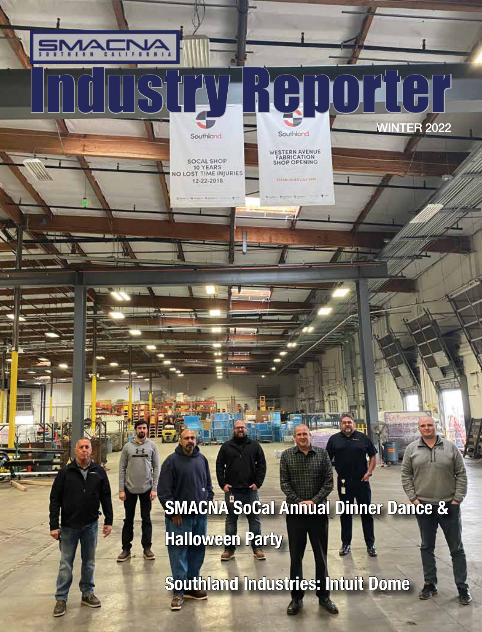SMACNA SoCal Annual Dinner Dance & Halloween Party

WINTER 2022

Southland Industries: Intuit Dome

Industry Reporter

Southland

SOCAL SHOP<br>10 YEARS<br>NO LOST TIME INJURIES

12-22-2018

Southland

WESTERN AVENUE<br>FABRICATION<br>SHOP OPENING

**EXTRACTERIES (VENTUR)** 

CALIFORNIA

HERN

 $T$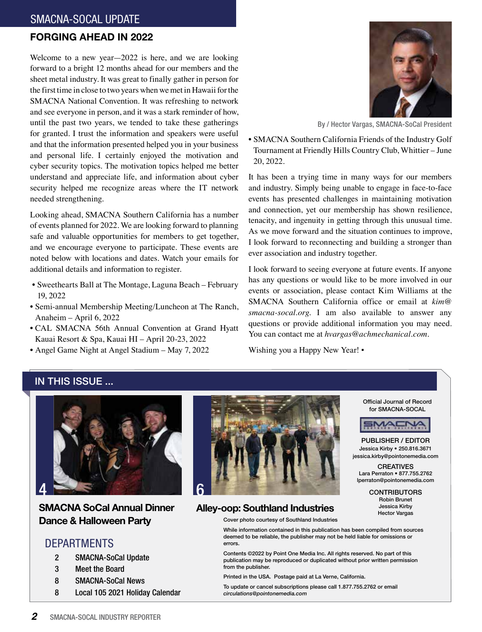## FORGING AHEAD IN 2022

Welcome to a new year—2022 is here, and we are looking forward to a bright 12 months ahead for our members and the sheet metal industry. It was great to finally gather in person for the first time in close to two years when we met in Hawaii for the SMACNA National Convention. It was refreshing to network and see everyone in person, and it was a stark reminder of how, until the past two years, we tended to take these gatherings for granted. I trust the information and speakers were useful and that the information presented helped you in your business and personal life. I certainly enjoyed the motivation and cyber security topics. The motivation topics helped me better understand and appreciate life, and information about cyber security helped me recognize areas where the IT network needed strengthening.

Looking ahead, SMACNA Southern California has a number of events planned for 2022. We are looking forward to planning safe and valuable opportunities for members to get together, and we encourage everyone to participate. These events are noted below with locations and dates. Watch your emails for additional details and information to register.

- Sweethearts Ball at The Montage, Laguna Beach February 19, 2022
- Semi-annual Membership Meeting/Luncheon at The Ranch, Anaheim – April 6, 2022
- CAL SMACNA 56th Annual Convention at Grand Hyatt Kauai Resort & Spa, Kauai HI – April 20-23, 2022
- Angel Game Night at Angel Stadium May 7, 2022



By / Hector Vargas, SMACNA-SoCal President

• SMACNA Southern California Friends of the Industry Golf Tournament at Friendly Hills Country Club, Whittier – June 20, 2022.

It has been a trying time in many ways for our members and industry. Simply being unable to engage in face-to-face events has presented challenges in maintaining motivation and connection, yet our membership has shown resilience, tenacity, and ingenuity in getting through this unusual time. As we move forward and the situation continues to improve, I look forward to reconnecting and building a stronger than ever association and industry together.

I look forward to seeing everyone at future events. If anyone has any questions or would like to be more involved in our events or association, please contact Kim Williams at the SMACNA Southern California office or email at *kim@ smacna-socal.org*. I am also available to answer any questions or provide additional information you may need. You can contact me at *hvargas@achmechanical.com*.

ncial Journal of Record<br>for SMACNA-SOCAL

Official Journal of Record

PUBLISHER / EDITOR Jessica Kirby • 250.816.3671 jessica.kirby@pointonemedia.com CREATIVES Lara Perraton • 877.755.2762 lperraton@pointonemedia.com **CONTRIBUTORS** Robin Brunet Jessica Kirby Hector Vargas

Wishing you a Happy New Year! •

## IN THIS ISSUE ...



SMACNA SoCal Annual Dinner Dance & Halloween Party

## DEPARTMENTS

- 2 SMACNA-SoCal Update
- 3 Meet the Board
- 8 SMACNA-SoCal News
- 8 Local 105 2021 Holiday Calendar



#### Alley-oop: Southland Industries

Cover photo courtesy of Southland Industries

While information contained in this publication has been compiled from sources deemed to be reliable, the publisher may not be held liable for omissions or errors.

Contents ©2022 by Point One Media Inc. All rights reserved. No part of this publication may be reproduced or duplicated without prior written permission from the publisher.

Printed in the USA. Postage paid at La Verne, California.

To update or cancel subscriptions please call 1.877.755.2762 or email *circulations@pointonemedia.com*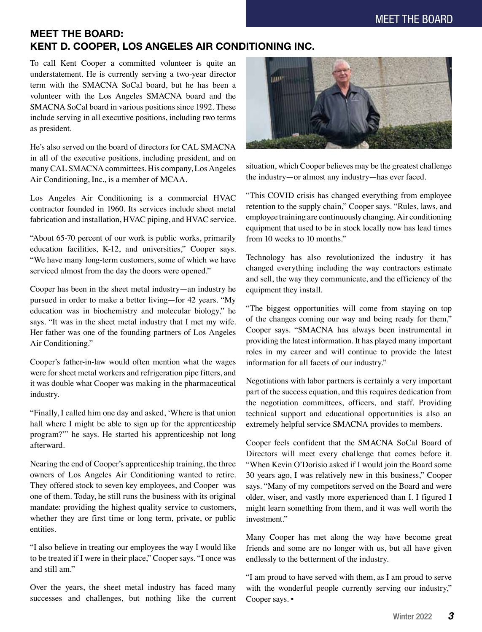## MEET THE BOARD

#### MEET THE BOARD: KENT D. COOPER, LOS ANGELES AIR CONDITIONING INC.

To call Kent Cooper a committed volunteer is quite an understatement. He is currently serving a two-year director term with the SMACNA SoCal board, but he has been a volunteer with the Los Angeles SMACNA board and the SMACNA SoCal board in various positions since 1992. These include serving in all executive positions, including two terms as president.

He's also served on the board of directors for CAL SMACNA in all of the executive positions, including president, and on many CAL SMACNA committees. His company, Los Angeles Air Conditioning, Inc., is a member of MCAA.

Los Angeles Air Conditioning is a commercial HVAC contractor founded in 1960. Its services include sheet metal fabrication and installation, HVAC piping, and HVAC service.

"About 65-70 percent of our work is public works, primarily education facilities, K-12, and universities," Cooper says. "We have many long-term customers, some of which we have serviced almost from the day the doors were opened."

Cooper has been in the sheet metal industry—an industry he pursued in order to make a better living—for 42 years. "My education was in biochemistry and molecular biology," he says. "It was in the sheet metal industry that I met my wife. Her father was one of the founding partners of Los Angeles Air Conditioning."

Cooper's father-in-law would often mention what the wages were for sheet metal workers and refrigeration pipe fitters, and it was double what Cooper was making in the pharmaceutical industry.

"Finally, I called him one day and asked, ʻWhere is that union hall where I might be able to sign up for the apprenticeship program?'" he says. He started his apprenticeship not long afterward.

Nearing the end of Cooper's apprenticeship training, the three owners of Los Angeles Air Conditioning wanted to retire. They offered stock to seven key employees, and Cooper was one of them. Today, he still runs the business with its original mandate: providing the highest quality service to customers, whether they are first time or long term, private, or public entities.

"I also believe in treating our employees the way I would like to be treated if I were in their place," Cooper says. "I once was and still am."

Over the years, the sheet metal industry has faced many successes and challenges, but nothing like the current



situation, which Cooper believes may be the greatest challenge the industry—or almost any industry—has ever faced.

"This COVID crisis has changed everything from employee retention to the supply chain," Cooper says. "Rules, laws, and employee training are continuously changing. Air conditioning equipment that used to be in stock locally now has lead times from 10 weeks to 10 months."

Technology has also revolutionized the industry—it has changed everything including the way contractors estimate and sell, the way they communicate, and the efficiency of the equipment they install.

"The biggest opportunities will come from staying on top of the changes coming our way and being ready for them," Cooper says. "SMACNA has always been instrumental in providing the latest information. It has played many important roles in my career and will continue to provide the latest information for all facets of our industry."

Negotiations with labor partners is certainly a very important part of the success equation, and this requires dedication from the negotiation committees, officers, and staff. Providing technical support and educational opportunities is also an extremely helpful service SMACNA provides to members.

Cooper feels confident that the SMACNA SoCal Board of Directors will meet every challenge that comes before it. "When Kevin O'Dorisio asked if I would join the Board some 30 years ago, I was relatively new in this business," Cooper says. "Many of my competitors served on the Board and were older, wiser, and vastly more experienced than I. I figured I might learn something from them, and it was well worth the investment."

Many Cooper has met along the way have become great friends and some are no longer with us, but all have given endlessly to the betterment of the industry.

"I am proud to have served with them, as I am proud to serve with the wonderful people currently serving our industry," Cooper says. ▪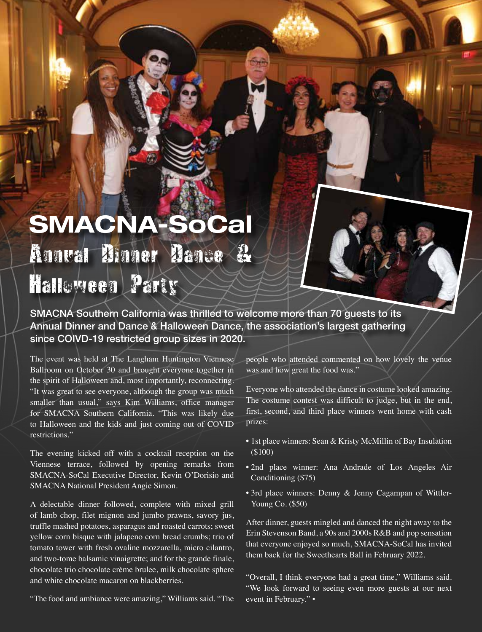# **SMACNA-SoCal** Annual Dinner Dance & Halloween Party

SMACNA Southern California was thrilled to welcome more than 70 guests to its Annual Dinner and Dance & Halloween Dance, the association's largest gathering since COIVD-19 restricted group sizes in 2020.

The event was held at The Langham Huntington Viennese Ballroom on October 30 and brought everyone together in the spirit of Halloween and, most importantly, reconnecting. "It was great to see everyone, although the group was much smaller than usual," says Kim Williams, office manager for SMACNA Southern California. "This was likely due to Halloween and the kids and just coming out of COVID restrictions."

The evening kicked off with a cocktail reception on the Viennese terrace, followed by opening remarks from SMACNA-SoCal Executive Director, Kevin O'Dorisio and SMACNA National President Angie Simon.

A delectable dinner followed, complete with mixed grill of lamb chop, filet mignon and jumbo prawns, savory jus, truffle mashed potatoes, asparagus and roasted carrots; sweet yellow corn bisque with jalapeno corn bread crumbs; trio of tomato tower with fresh ovaline mozzarella, micro cilantro, and two-tome balsamic vinaigrette; and for the grande finale, chocolate trio chocolate crème brulee, milk chocolate sphere and white chocolate macaron on blackberries.

"The food and ambiance were amazing," Williams said. "The

people who attended commented on how lovely the venue was and how great the food was."

Everyone who attended the dance in costume looked amazing. The costume contest was difficult to judge, but in the end, first, second, and third place winners went home with cash prizes:

- 1st place winners: Sean & Kristy McMillin of Bay Insulation (\$100)
- 2nd place winner: Ana Andrade of Los Angeles Air Conditioning (\$75)
- 3rd place winners: Denny & Jenny Cagampan of Wittler-Young Co. (\$50)

After dinner, guests mingled and danced the night away to the Erin Stevenson Band, a 90s and 2000s R&B and pop sensation that everyone enjoyed so much, SMACNA-SoCal has invited them back for the Sweethearts Ball in February 2022.

"Overall, I think everyone had a great time," Williams said. "We look forward to seeing even more guests at our next event in February." ▪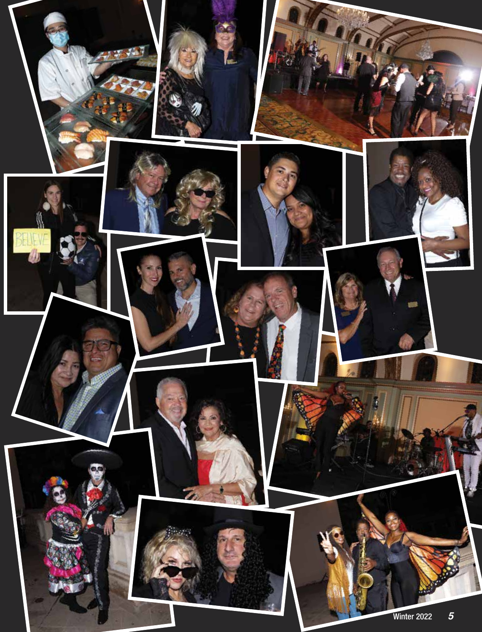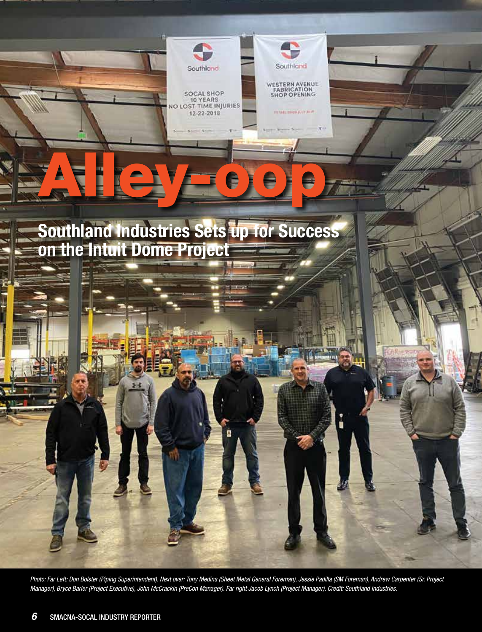

*Photo: Far Left: Don Bolster (Piping Superintendent). Next over: Tony Medina (Sheet Metal General Foreman), Jessie Padilla (SM Foreman), Andrew Carpenter (Sr. Project Manager), Bryce Barler (Project Executive), John McCrackin (PreCon Manager). Far right Jacob Lynch (Project Manager). Credit: Southland Industries.*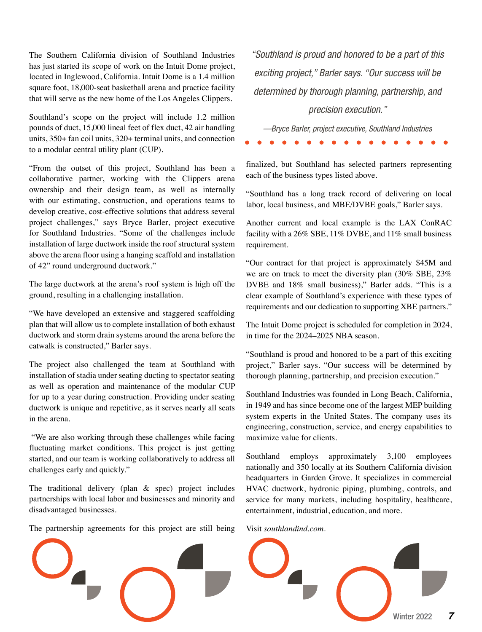The Southern California division of Southland Industries has just started its scope of work on the Intuit Dome project, located in Inglewood, California. Intuit Dome is a 1.4 million square foot, 18,000-seat basketball arena and practice facility that will serve as the new home of the Los Angeles Clippers.

Southland's scope on the project will include 1.2 million pounds of duct, 15,000 lineal feet of flex duct, 42 air handling units, 350+ fan coil units, 320+ terminal units, and connection to a modular central utility plant (CUP).

"From the outset of this project, Southland has been a collaborative partner, working with the Clippers arena ownership and their design team, as well as internally with our estimating, construction, and operations teams to develop creative, cost-effective solutions that address several project challenges," says Bryce Barler, project executive for Southland Industries. "Some of the challenges include installation of large ductwork inside the roof structural system above the arena floor using a hanging scaffold and installation of 42" round underground ductwork."

The large ductwork at the arena's roof system is high off the ground, resulting in a challenging installation.

"We have developed an extensive and staggered scaffolding plan that will allow us to complete installation of both exhaust ductwork and storm drain systems around the arena before the catwalk is constructed," Barler says.

The project also challenged the team at Southland with installation of stadia under seating ducting to spectator seating as well as operation and maintenance of the modular CUP for up to a year during construction. Providing under seating ductwork is unique and repetitive, as it serves nearly all seats in the arena.

"We are also working through these challenges while facing fluctuating market conditions. This project is just getting started, and our team is working collaboratively to address all challenges early and quickly."

The traditional delivery (plan & spec) project includes partnerships with local labor and businesses and minority and disadvantaged businesses.

The partnership agreements for this project are still being

*"Southland is proud and honored to be a part of this exciting project," Barler says. "Our success will be determined by thorough planning, partnership, and* 

#### *precision execution."*

*—Bryce Barler, project executive, Southland Industries*

finalized, but Southland has selected partners representing each of the business types listed above.

"Southland has a long track record of delivering on local labor, local business, and MBE/DVBE goals," Barler says.

Another current and local example is the LAX ConRAC facility with a  $26\%$  SBE,  $11\%$  DVBE, and  $11\%$  small business requirement.

"Our contract for that project is approximately \$45M and we are on track to meet the diversity plan (30% SBE, 23% DVBE and 18% small business)," Barler adds. "This is a clear example of Southland's experience with these types of requirements and our dedication to supporting XBE partners."

The Intuit Dome project is scheduled for completion in 2024, in time for the 2024–2025 NBA season.

"Southland is proud and honored to be a part of this exciting project," Barler says. "Our success will be determined by thorough planning, partnership, and precision execution."

Southland Industries was founded in Long Beach, California, in 1949 and has since become one of the largest MEP building system experts in the United States. The company uses its engineering, construction, service, and energy capabilities to maximize value for clients.

Southland employs approximately 3,100 employees nationally and 350 locally at its Southern California division headquarters in Garden Grove. It specializes in commercial HVAC ductwork, hydronic piping, plumbing, controls, and service for many markets, including hospitality, healthcare, entertainment, industrial, education, and more.

Visit *southlandind.com*.